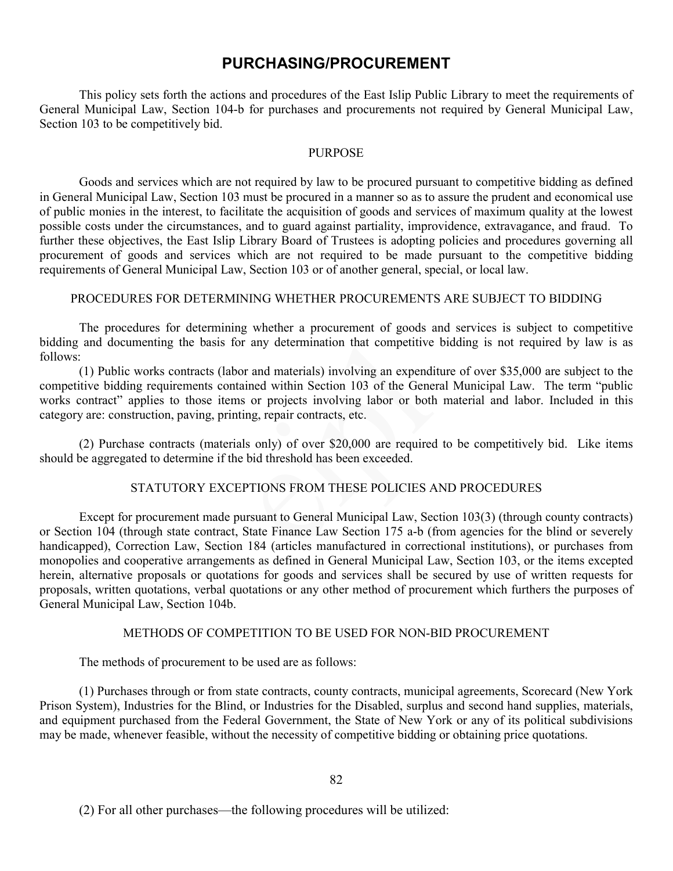# **PURCHASING/PROCUREMENT**

This policy sets forth the actions and procedures of the East Islip Public Library to meet the requirements of General Municipal Law, Section 104-b for purchases and procurements not required by General Municipal Law, Section 103 to be competitively bid.

### PURPOSE

Goods and services which are not required by law to be procured pursuant to competitive bidding as defined in General Municipal Law, Section 103 must be procured in a manner so as to assure the prudent and economical use of public monies in the interest, to facilitate the acquisition of goods and services of maximum quality at the lowest possible costs under the circumstances, and to guard against partiality, improvidence, extravagance, and fraud. To further these objectives, the East Islip Library Board of Trustees is adopting policies and procedures governing all procurement of goods and services which are not required to be made pursuant to the competitive bidding requirements of General Municipal Law, Section 103 or of another general, special, or local law.

### PROCEDURES FOR DETERMINING WHETHER PROCUREMENTS ARE SUBJECT TO BIDDING

The procedures for determining whether a procurement of goods and services is subject to competitive bidding and documenting the basis for any determination that competitive bidding is not required by law is as follows:

(1) Public works contracts (labor and materials) involving an expenditure of over \$35,000 are subject to the competitive bidding requirements contained within Section 103 of the General Municipal Law. The term "public works contract" applies to those items or projects involving labor or both material and labor. Included in this category are: construction, paving, printing, repair contracts, etc.

(2) Purchase contracts (materials only) of over \$20,000 are required to be competitively bid. Like items should be aggregated to determine if the bid threshold has been exceeded.

# STATUTORY EXCEPTIONS FROM THESE POLICIES AND PROCEDURES

Except for procurement made pursuant to General Municipal Law, Section 103(3) (through county contracts) or Section 104 (through state contract, State Finance Law Section 175 a-b (from agencies for the blind or severely handicapped), Correction Law, Section 184 (articles manufactured in correctional institutions), or purchases from monopolies and cooperative arrangements as defined in General Municipal Law, Section 103, or the items excepted herein, alternative proposals or quotations for goods and services shall be secured by use of written requests for proposals, written quotations, verbal quotations or any other method of procurement which furthers the purposes of General Municipal Law, Section 104b.

### METHODS OF COMPETITION TO BE USED FOR NON-BID PROCUREMENT

The methods of procurement to be used are as follows:

(1) Purchases through or from state contracts, county contracts, municipal agreements, Scorecard (New York Prison System), Industries for the Blind, or Industries for the Disabled, surplus and second hand supplies, materials, and equipment purchased from the Federal Government, the State of New York or any of its political subdivisions may be made, whenever feasible, without the necessity of competitive bidding or obtaining price quotations.

(2) For all other purchases—the following procedures will be utilized: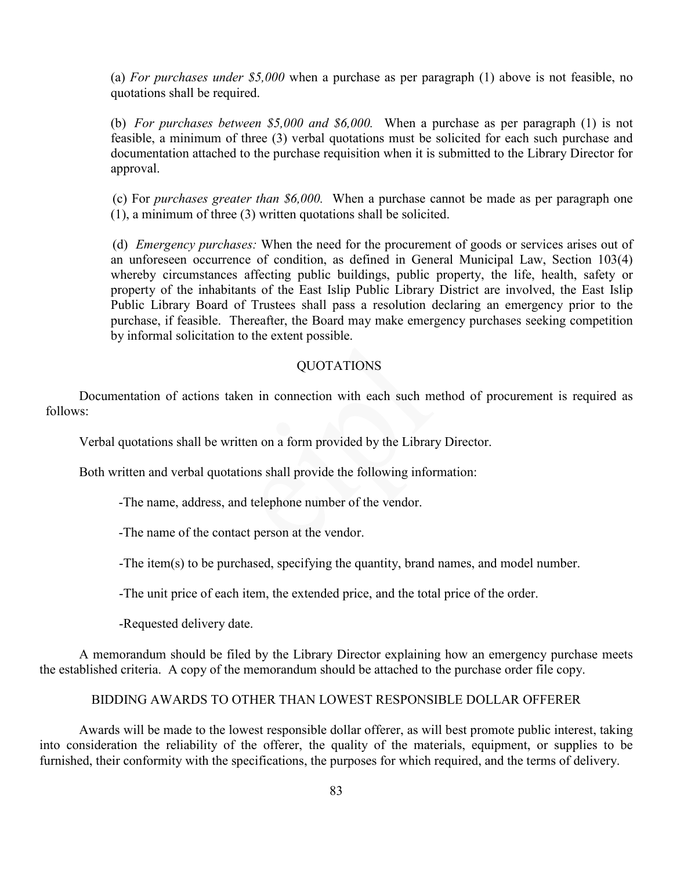(a) *For purchases under \$5,000* when a purchase as per paragraph (1) above is not feasible, no quotations shall be required.

(b) *For purchases between \$5,000 and \$6,000.* When a purchase as per paragraph (1) is not feasible, a minimum of three (3) verbal quotations must be solicited for each such purchase and documentation attached to the purchase requisition when it is submitted to the Library Director for approval.

(c) For *purchases greater than \$6,000.* When a purchase cannot be made as per paragraph one (1), a minimum of three (3) written quotations shall be solicited.

(d) *Emergency purchases:* When the need for the procurement of goods or services arises out of an unforeseen occurrence of condition, as defined in General Municipal Law, Section 103(4) whereby circumstances affecting public buildings, public property, the life, health, safety or property of the inhabitants of the East Islip Public Library District are involved, the East Islip Public Library Board of Trustees shall pass a resolution declaring an emergency prior to the purchase, if feasible. Thereafter, the Board may make emergency purchases seeking competition by informal solicitation to the extent possible.

### QUOTATIONS

Documentation of actions taken in connection with each such method of procurement is required as follows:

Verbal quotations shall be written on a form provided by the Library Director.

Both written and verbal quotations shall provide the following information:

-The name, address, and telephone number of the vendor.

-The name of the contact person at the vendor.

-The item(s) to be purchased, specifying the quantity, brand names, and model number.

-The unit price of each item, the extended price, and the total price of the order.

-Requested delivery date.

A memorandum should be filed by the Library Director explaining how an emergency purchase meets the established criteria. A copy of the memorandum should be attached to the purchase order file copy.

#### BIDDING AWARDS TO OTHER THAN LOWEST RESPONSIBLE DOLLAR OFFERER

Awards will be made to the lowest responsible dollar offerer, as will best promote public interest, taking into consideration the reliability of the offerer, the quality of the materials, equipment, or supplies to be furnished, their conformity with the specifications, the purposes for which required, and the terms of delivery.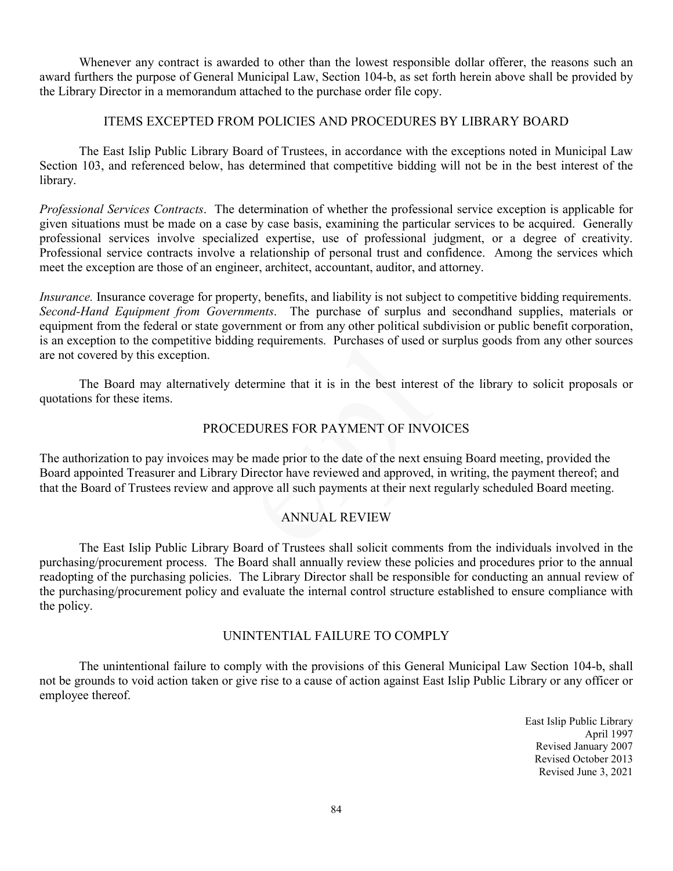Whenever any contract is awarded to other than the lowest responsible dollar offerer, the reasons such an award furthers the purpose of General Municipal Law, Section 104-b, as set forth herein above shall be provided by the Library Director in a memorandum attached to the purchase order file copy.

# ITEMS EXCEPTED FROM POLICIES AND PROCEDURES BY LIBRARY BOARD

The East Islip Public Library Board of Trustees, in accordance with the exceptions noted in Municipal Law Section 103, and referenced below, has determined that competitive bidding will not be in the best interest of the library.

*Professional Services Contracts*. The determination of whether the professional service exception is applicable for given situations must be made on a case by case basis, examining the particular services to be acquired. Generally professional services involve specialized expertise, use of professional judgment, or a degree of creativity. Professional service contracts involve a relationship of personal trust and confidence. Among the services which meet the exception are those of an engineer, architect, accountant, auditor, and attorney.

*Insurance.* Insurance coverage for property, benefits, and liability is not subject to competitive bidding requirements. *Second-Hand Equipment from Governments*. The purchase of surplus and secondhand supplies, materials or equipment from the federal or state government or from any other political subdivision or public benefit corporation, is an exception to the competitive bidding requirements. Purchases of used or surplus goods from any other sources are not covered by this exception.

The Board may alternatively determine that it is in the best interest of the library to solicit proposals or quotations for these items.

# PROCEDURES FOR PAYMENT OF INVOICES

The authorization to pay invoices may be made prior to the date of the next ensuing Board meeting, provided the Board appointed Treasurer and Library Director have reviewed and approved, in writing, the payment thereof; and that the Board of Trustees review and approve all such payments at their next regularly scheduled Board meeting.

# ANNUAL REVIEW

The East Islip Public Library Board of Trustees shall solicit comments from the individuals involved in the purchasing/procurement process. The Board shall annually review these policies and procedures prior to the annual readopting of the purchasing policies. The Library Director shall be responsible for conducting an annual review of the purchasing/procurement policy and evaluate the internal control structure established to ensure compliance with the policy.

# UNINTENTIAL FAILURE TO COMPLY

The unintentional failure to comply with the provisions of this General Municipal Law Section 104-b, shall not be grounds to void action taken or give rise to a cause of action against East Islip Public Library or any officer or employee thereof.

> East Islip Public Library April 1997 Revised January 2007 Revised October 2013 Revised June 3, 2021